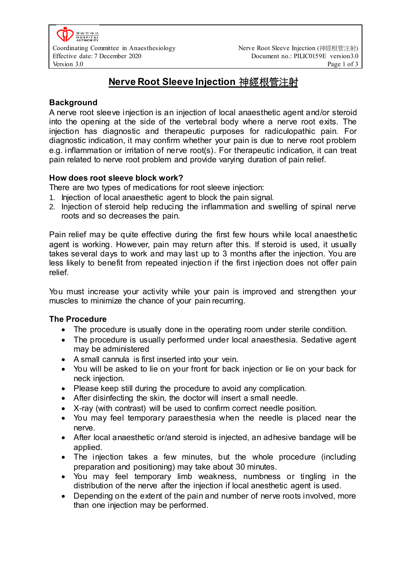# **Nerve Root Sleeve Injection** 神經根管注射

# **Background**

A nerve root sleeve injection is an injection of local anaesthetic agent and/or steroid into the opening at the side of the vertebral body where a nerve root exits. The injection has diagnostic and therapeutic purposes for radiculopathic pain. For diagnostic indication, it may confirm whether your pain is due to nerve root problem e.g. inflammation or irritation of nerve root(s). For therapeutic indication, it can treat pain related to nerve root problem and provide varying duration of pain relief.

## **How does root sleeve block work?**

There are two types of medications for root sleeve injection:

- 1. Injection of local anaesthetic agent to block the pain signal.
- 2. Injection of steroid help reducing the inflammation and swelling of spinal nerve roots and so decreases the pain.

Pain relief may be quite effective during the first few hours while local anaesthetic agent is working. However, pain may return after this. If steroid is used, it usually takes several days to work and may last up to 3 months after the injection. You are less likely to benefit from repeated injection if the first injection does not offer pain relief.

You must increase your activity while your pain is improved and strengthen your muscles to minimize the chance of your pain recurring.

## **The Procedure**

- The procedure is usually done in the operating room under sterile condition.
- The procedure is usually performed under local anaesthesia. Sedative agent may be administered
- A small cannula is first inserted into your vein.
- You will be asked to lie on your front for back injection or lie on your back for neck injection.
- Please keep still during the procedure to avoid any complication.
- After disinfecting the skin, the doctor will insert a small needle.
- X-ray (with contrast) will be used to confirm correct needle position.
- You may feel temporary paraesthesia when the needle is placed near the nerve.
- After local anaesthetic or/and steroid is injected, an adhesive bandage will be applied.
- The injection takes a few minutes, but the whole procedure (including preparation and positioning) may take about 30 minutes.
- You may feel temporary limb weakness, numbness or tingling in the distribution of the nerve after the injection if local anesthetic agent is used.
- Depending on the extent of the pain and number of nerve roots involved, more than one injection may be performed.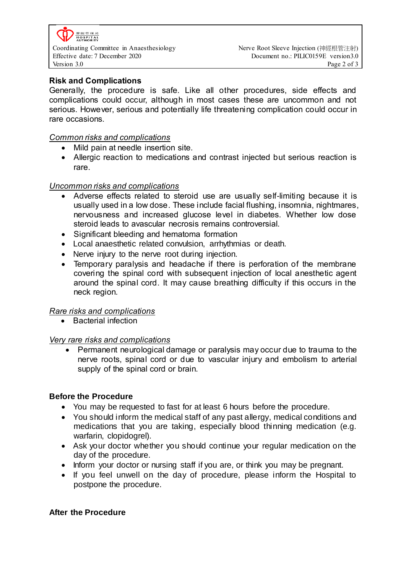

Effective date: 7 December 2020 Document no.: PILIC0159E version3.0 Version 3.0 Page 2 of 3

## **Risk and Complications**

Generally, the procedure is safe. Like all other procedures, side effects and complications could occur, although in most cases these are uncommon and not serious. However, serious and potentially life threatening complication could occur in rare occasions.

## *Common risks and complications*

- Mild pain at needle insertion site.
- Allergic reaction to medications and contrast injected but serious reaction is rare.

#### *Uncommon risks and complications*

- Adverse effects related to steroid use are usually self-limiting because it is usually used in a low dose. These include facial flushing, insomnia, nightmares, nervousness and increased glucose level in diabetes. Whether low dose steroid leads to avascular necrosis remains controversial.
- Significant bleeding and hematoma formation
- Local anaesthetic related convulsion, arrhythmias or death.
- Nerve injury to the nerve root during injection.
- Temporary paralysis and headache if there is perforation of the membrane covering the spinal cord with subsequent injection of local anesthetic agent around the spinal cord. It may cause breathing difficulty if this occurs in the neck region.

#### *Rare risks and complications*

• Bacterial infection

#### *Very rare risks and complications*

• Permanent neurological damage or paralysis may occur due to trauma to the nerve roots, spinal cord or due to vascular injury and embolism to arterial supply of the spinal cord or brain.

#### **Before the Procedure**

- You may be requested to fast for at least 6 hours before the procedure.
- You should inform the medical staff of any past allergy, medical conditions and medications that you are taking, especially blood thinning medication (e.g. warfarin, clopidogrel).
- Ask your doctor whether you should continue your regular medication on the day of the procedure.
- Inform your doctor or nursing staff if you are, or think you may be pregnant.
- If you feel unwell on the day of procedure, please inform the Hospital to postpone the procedure.

#### **After the Procedure**